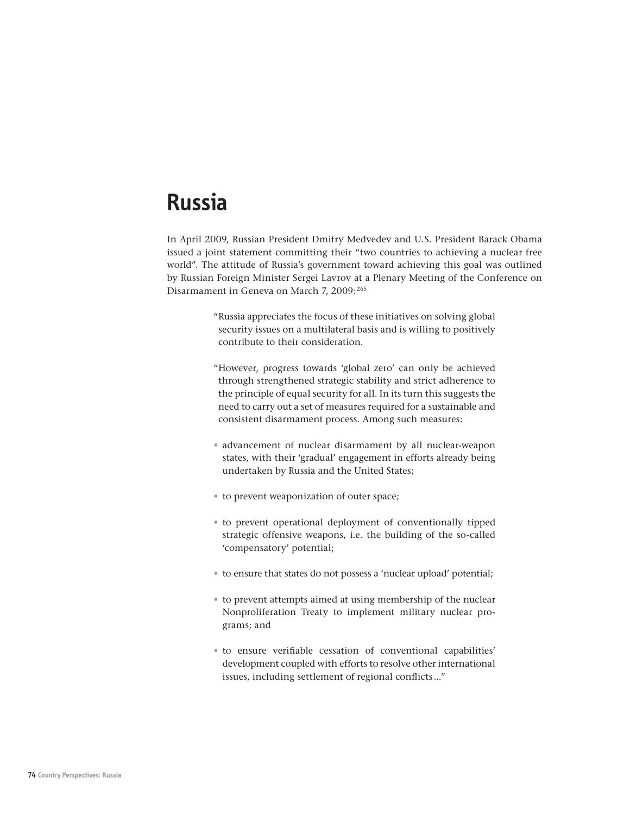# **Russia**

In April 2009, Russian President Dmitry Medvedev and U.S. President Barack Obama issued a joint statement committing their "two countries to achieving a nuclear free world". The attitude of Russia's government toward achieving this goal was outlined by Russian Foreign Minister Sergei Lavrov at a Plenary Meeting of the Conference on Disarmament in Geneva on March 7, 2009:<sup>265</sup>

- " Russia appreciates the focus of these initiatives on solving global security issues on a multilateral basis and is willing to positively contribute to their consideration.
- " However, progress towards 'global zero' can only be achieved through strengthened strategic stability and strict adherence to the principle of equal security for all. In its turn this suggests the need to carry out a set of measures required for a sustainable and consistent disarmament process. Among such measures:
- advancement of nuclear disarmament by all nuclear-weapon states, with their 'gradual' engagement in efforts already being undertaken by Russia and the United States;
- to prevent weaponization of outer space;
- to prevent operational deployment of conventionally tipped strategic offensive weapons, i.e. the building of the so-called 'compensatory' potential;
- to ensure that states do not possess a 'nuclear upload' potential;
- to prevent attempts aimed at using membership of the nuclear Nonproliferation Treaty to implement military nuclear programs; and
- to ensure verifiable cessation of conventional capabilities' development coupled with efforts to resolve other international issues, including settlement of regional conflicts ..."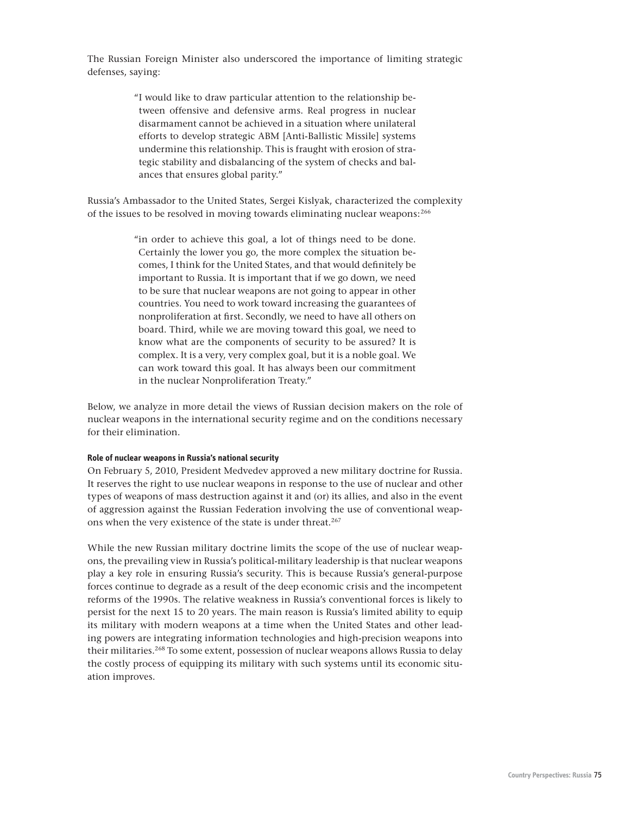The Russian Foreign Minister also underscored the importance of limiting strategic defenses, saying:

> "I would like to draw particular attention to the relationship between offensive and defensive arms. Real progress in nuclear disarmament cannot be achieved in a situation where unilateral efforts to develop strategic ABM [Anti-Ballistic Missile] systems undermine this relationship. This is fraught with erosion of strategic stability and disbalancing of the system of checks and balances that ensures global parity."

Russia's Ambassador to the United States, Sergei Kislyak, characterized the complexity of the issues to be resolved in moving towards eliminating nuclear weapons:<sup>266</sup>

> " in order to achieve this goal, a lot of things need to be done. Certainly the lower you go, the more complex the situation becomes, I think for the United States, and that would definitely be important to Russia. It is important that if we go down, we need to be sure that nuclear weapons are not going to appear in other countries. You need to work toward increasing the guarantees of nonproliferation at first. Secondly, we need to have all others on board. Third, while we are moving toward this goal, we need to know what are the components of security to be assured? It is complex. It is a very, very complex goal, but it is a noble goal. We can work toward this goal. It has always been our commitment in the nuclear Nonproliferation Treaty."

Below, we analyze in more detail the views of Russian decision makers on the role of nuclear weapons in the international security regime and on the conditions necessary for their elimination.

# **Role of nuclear weapons in Russia's national security**

On February 5, 2010, President Medvedev approved a new military doctrine for Russia. It reserves the right to use nuclear weapons in response to the use of nuclear and other types of weapons of mass destruction against it and (or) its allies, and also in the event of aggression against the Russian Federation involving the use of conventional weapons when the very existence of the state is under threat.<sup>267</sup>

While the new Russian military doctrine limits the scope of the use of nuclear weapons, the prevailing view in Russia's political-military leadership is that nuclear weapons play a key role in ensuring Russia's security. This is because Russia's general-purpose forces continue to degrade as a result of the deep economic crisis and the incompetent reforms of the 1990s. The relative weakness in Russia's conventional forces is likely to persist for the next 15 to 20 years. The main reason is Russia's limited ability to equip its military with modern weapons at a time when the United States and other leading powers are integrating information technologies and high-precision weapons into their militaries.<sup>268</sup> To some extent, possession of nuclear weapons allows Russia to delay the costly process of equipping its military with such systems until its economic situation improves.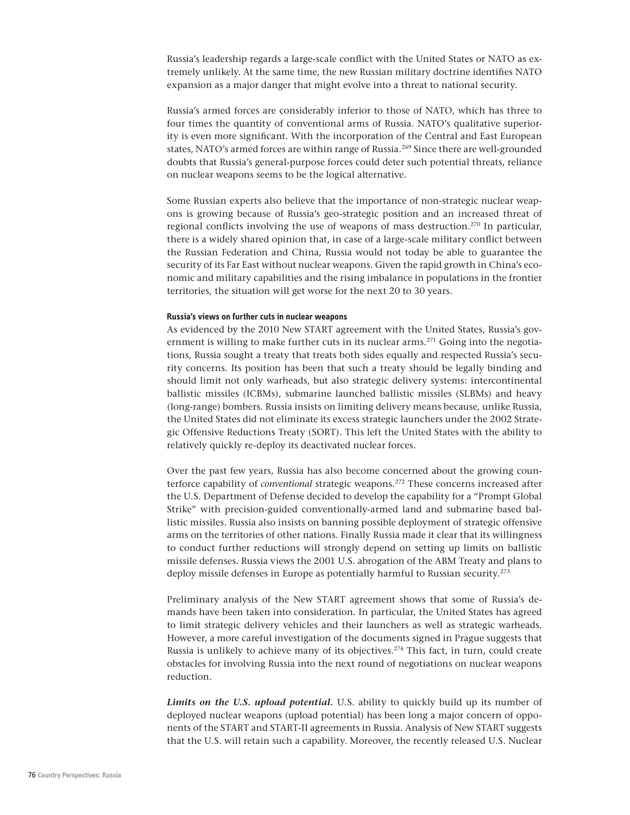Russia's leadership regards a large-scale conflict with the United States or NATO as extremely unlikely. At the same time, the new Russian military doctrine identifies NATO expansion as a major danger that might evolve into a threat to national security.

Russia's armed forces are considerably inferior to those of NATO, which has three to four times the quantity of conventional arms of Russia. NATO's qualitative superiority is even more significant. With the incorporation of the Central and East European states, NATO's armed forces are within range of Russia.269 Since there are well-grounded doubts that Russia's general-purpose forces could deter such potential threats, reliance on nuclear weapons seems to be the logical alternative.

Some Russian experts also believe that the importance of non-strategic nuclear weapons is growing because of Russia's geo-strategic position and an increased threat of regional conflicts involving the use of weapons of mass destruction.270 In particular, there is a widely shared opinion that, in case of a large-scale military conflict between the Russian Federation and China, Russia would not today be able to guarantee the security of its Far East without nuclear weapons. Given the rapid growth in China's economic and military capabilities and the rising imbalance in populations in the frontier territories, the situation will get worse for the next 20 to 30 years.

### **Russia's views on further cuts in nuclear weapons**

As evidenced by the 2010 New START agreement with the United States, Russia's government is willing to make further cuts in its nuclear  $\arccos 271$  Going into the negotiations, Russia sought a treaty that treats both sides equally and respected Russia's security concerns. Its position has been that such a treaty should be legally binding and should limit not only warheads, but also strategic delivery systems: intercontinental ballistic missiles (ICBMs), submarine launched ballistic missiles (SLBMs) and heavy (long-range) bombers. Russia insists on limiting delivery means because, unlike Russia, the United States did not eliminate its excess strategic launchers under the 2002 Strategic Offensive Reductions Treaty (SORT). This left the United States with the ability to relatively quickly re-deploy its deactivated nuclear forces.

Over the past few years, Russia has also become concerned about the growing counterforce capability of *conventional* strategic weapons.272 These concerns increased after the U.S. Department of Defense decided to develop the capability for a "Prompt Global Strike" with precision-guided conventionally-armed land and submarine based ballistic missiles. Russia also insists on banning possible deployment of strategic offensive arms on the territories of other nations. Finally Russia made it clear that its willingness to conduct further reductions will strongly depend on setting up limits on ballistic missile defenses. Russia views the 2001 U.S. abrogation of the ABM Treaty and plans to deploy missile defenses in Europe as potentially harmful to Russian security.<sup>273</sup>

Preliminary analysis of the New START agreement shows that some of Russia's demands have been taken into consideration. In particular, the United States has agreed to limit strategic delivery vehicles and their launchers as well as strategic warheads. However, a more careful investigation of the documents signed in Prague suggests that Russia is unlikely to achieve many of its objectives.<sup>274</sup> This fact, in turn, could create obstacles for involving Russia into the next round of negotiations on nuclear weapons reduction.

*Limits on the U.S. upload potential.* U.S. ability to quickly build up its number of deployed nuclear weapons (upload potential) has been long a major concern of opponents of the START and START-II agreements in Russia. Analysis of New START suggests that the U.S. will retain such a capability. Moreover, the recently released U.S. Nuclear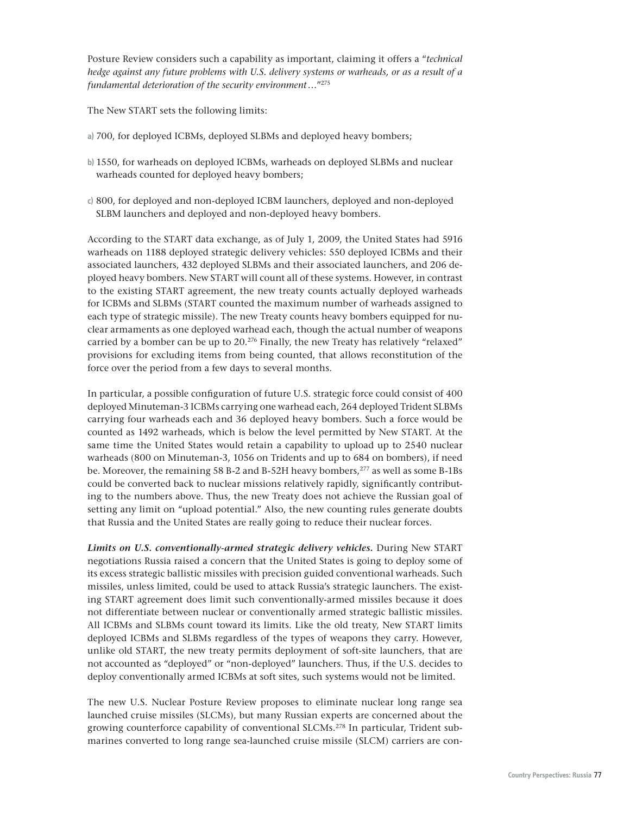Posture Review considers such a capability as important, claiming it offers a "*technical hedge against any future problems with U.S. delivery systems or warheads, or as a result of a fundamental deterioration of the security environment …*"275

The New START sets the following limits:

- 700, for deployed ICBMs, deployed SLBMs and deployed heavy bombers; **a)**
- 1550, for warheads on deployed ICBMs, warheads on deployed SLBMs and nuclear **b)** warheads counted for deployed heavy bombers;
- 800, for deployed and non-deployed ICBM launchers, deployed and non-deployed **c)**SLBM launchers and deployed and non-deployed heavy bombers.

According to the START data exchange, as of July 1, 2009, the United States had 5916 warheads on 1188 deployed strategic delivery vehicles: 550 deployed ICBMs and their associated launchers, 432 deployed SLBMs and their associated launchers, and 206 deployed heavy bombers. New START will count all of these systems. However, in contrast to the existing START agreement, the new treaty counts actually deployed warheads for ICBMs and SLBMs (START counted the maximum number of warheads assigned to each type of strategic missile). The new Treaty counts heavy bombers equipped for nuclear armaments as one deployed warhead each, though the actual number of weapons carried by a bomber can be up to 20.276 Finally, the new Treaty has relatively "relaxed" provisions for excluding items from being counted, that allows reconstitution of the force over the period from a few days to several months.

In particular, a possible configuration of future U.S. strategic force could consist of 400 deployed Minuteman-3 ICBMs carrying one warhead each, 264 deployed Trident SLBMs carrying four warheads each and 36 deployed heavy bombers. Such a force would be counted as 1492 warheads, which is below the level permitted by New START. At the same time the United States would retain a capability to upload up to 2540 nuclear warheads (800 on Minuteman-3, 1056 on Tridents and up to 684 on bombers), if need be. Moreover, the remaining 58 B-2 and B-52H heavy bombers,277 as well as some B-1Bs could be converted back to nuclear missions relatively rapidly, significantly contributing to the numbers above. Thus, the new Treaty does not achieve the Russian goal of setting any limit on "upload potential." Also, the new counting rules generate doubts that Russia and the United States are really going to reduce their nuclear forces.

*Limits on U.S. conventionally-armed strategic delivery vehicles.* During New START negotiations Russia raised a concern that the United States is going to deploy some of its excess strategic ballistic missiles with precision guided conventional warheads. Such missiles, unless limited, could be used to attack Russia's strategic launchers. The existing START agreement does limit such conventionally-armed missiles because it does not differentiate between nuclear or conventionally armed strategic ballistic missiles. All ICBMs and SLBMs count toward its limits. Like the old treaty, New START limits deployed ICBMs and SLBMs regardless of the types of weapons they carry. However, unlike old START, the new treaty permits deployment of soft-site launchers, that are not accounted as "deployed" or "non-deployed" launchers. Thus, if the U.S. decides to deploy conventionally armed ICBMs at soft sites, such systems would not be limited.

The new U.S. Nuclear Posture Review proposes to eliminate nuclear long range sea launched cruise missiles (SLCMs), but many Russian experts are concerned about the growing counterforce capability of conventional SLCMs.278 In particular, Trident submarines converted to long range sea-launched cruise missile (SLCM) carriers are con-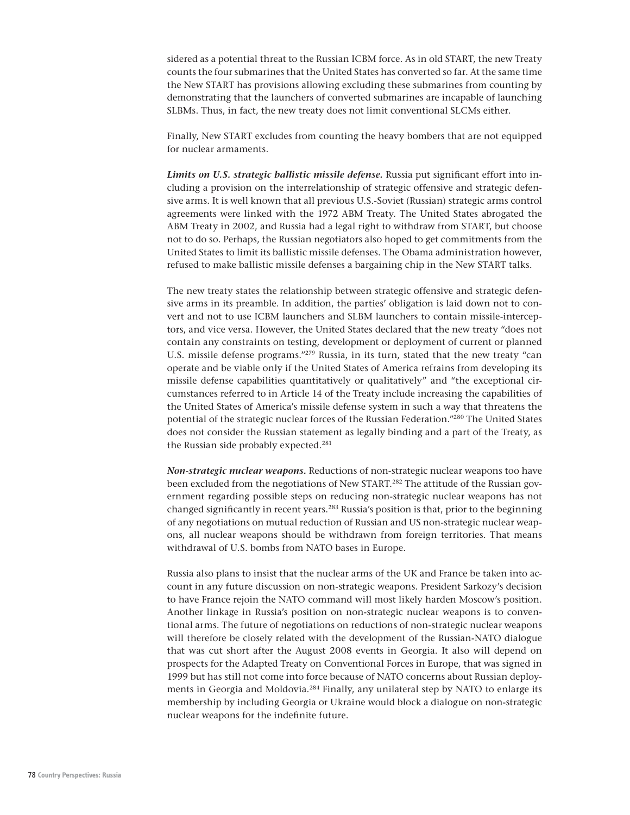sidered as a potential threat to the Russian ICBM force. As in old START, the new Treaty counts the four submarines that the United States has converted so far. At the same time the New START has provisions allowing excluding these submarines from counting by demonstrating that the launchers of converted submarines are incapable of launching SLBMs. Thus, in fact, the new treaty does not limit conventional SLCMs either.

Finally, New START excludes from counting the heavy bombers that are not equipped for nuclear armaments.

*Limits on U.S. strategic ballistic missile defense.* Russia put significant effort into including a provision on the interrelationship of strategic offensive and strategic defensive arms. It is well known that all previous U.S.-Soviet (Russian) strategic arms control agreements were linked with the 1972 ABM Treaty. The United States abrogated the ABM Treaty in 2002, and Russia had a legal right to withdraw from START, but choose not to do so. Perhaps, the Russian negotiators also hoped to get commitments from the United States to limit its ballistic missile defenses. The Obama administration however, refused to make ballistic missile defenses a bargaining chip in the New START talks.

The new treaty states the relationship between strategic offensive and strategic defensive arms in its preamble. In addition, the parties' obligation is laid down not to convert and not to use ICBM launchers and SLBM launchers to contain missile-interceptors, and vice versa. However, the United States declared that the new treaty "does not contain any constraints on testing, development or deployment of current or planned U.S. missile defense programs."<sup>279</sup> Russia, in its turn, stated that the new treaty "can operate and be viable only if the United States of America refrains from developing its missile defense capabilities quantitatively or qualitatively" and "the exceptional circumstances referred to in Article 14 of the Treaty include increasing the capabilities of the United States of America's missile defense system in such a way that threatens the potential of the strategic nuclear forces of the Russian Federation."280 The United States does not consider the Russian statement as legally binding and a part of the Treaty, as the Russian side probably expected.<sup>281</sup>

*Non-strategic nuclear weapons.* Reductions of non-strategic nuclear weapons too have been excluded from the negotiations of New START.<sup>282</sup> The attitude of the Russian government regarding possible steps on reducing non-strategic nuclear weapons has not changed significantly in recent years.283 Russia's position is that, prior to the beginning of any negotiations on mutual reduction of Russian and US non-strategic nuclear weapons, all nuclear weapons should be withdrawn from foreign territories. That means withdrawal of U.S. bombs from NATO bases in Europe.

Russia also plans to insist that the nuclear arms of the UK and France be taken into account in any future discussion on non-strategic weapons. President Sarkozy's decision to have France rejoin the NATO command will most likely harden Moscow's position. Another linkage in Russia's position on non-strategic nuclear weapons is to conventional arms. The future of negotiations on reductions of non-strategic nuclear weapons will therefore be closely related with the development of the Russian-NATO dialogue that was cut short after the August 2008 events in Georgia. It also will depend on prospects for the Adapted Treaty on Conventional Forces in Europe, that was signed in 1999 but has still not come into force because of NATO concerns about Russian deployments in Georgia and Moldovia.284 Finally, any unilateral step by NATO to enlarge its membership by including Georgia or Ukraine would block a dialogue on non-strategic nuclear weapons for the indefinite future.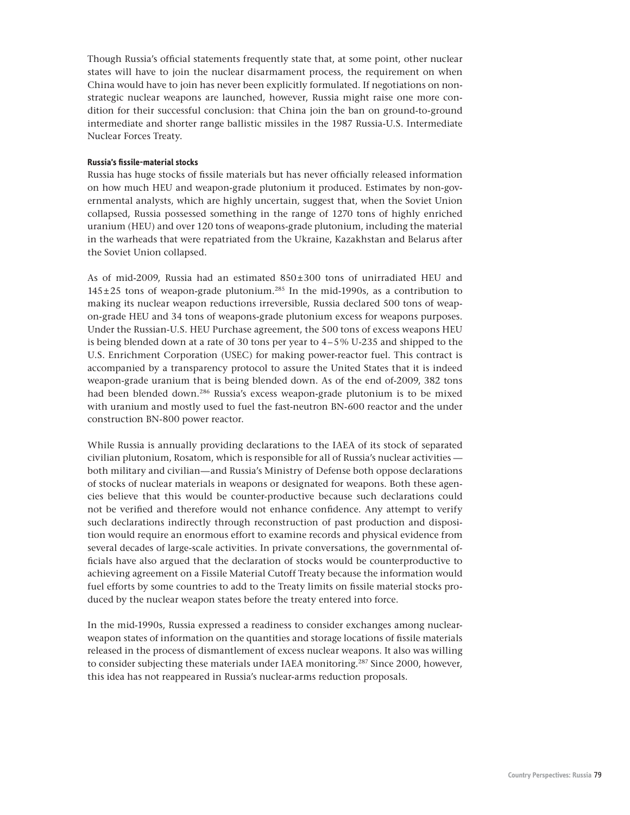Though Russia's official statements frequently state that, at some point, other nuclear states will have to join the nuclear disarmament process, the requirement on when China would have to join has never been explicitly formulated. If negotiations on nonstrategic nuclear weapons are launched, however, Russia might raise one more condition for their successful conclusion: that China join the ban on ground-to-ground intermediate and shorter range ballistic missiles in the 1987 Russia-U.S. Intermediate Nuclear Forces Treaty.

## **Russia's fissile-material stocks**

Russia has huge stocks of fissile materials but has never officially released information on how much HEU and weapon-grade plutonium it produced. Estimates by non-governmental analysts, which are highly uncertain, suggest that, when the Soviet Union collapsed, Russia possessed something in the range of 1270 tons of highly enriched uranium (HEU) and over 120 tons of weapons-grade plutonium, including the material in the warheads that were repatriated from the Ukraine, Kazakhstan and Belarus after the Soviet Union collapsed.

As of mid-2009, Russia had an estimated  $850 \pm 300$  tons of unirradiated HEU and  $145 \pm 25$  tons of weapon-grade plutonium.<sup>285</sup> In the mid-1990s, as a contribution to making its nuclear weapon reductions irreversible, Russia declared 500 tons of weapon-grade HEU and 34 tons of weapons-grade plutonium excess for weapons purposes. Under the Russian-U.S. HEU Purchase agreement, the 500 tons of excess weapons HEU is being blended down at a rate of 30 tons per year to  $4-5\%$  U-235 and shipped to the U.S. Enrichment Corporation (USEC) for making power-reactor fuel. This contract is accompanied by a transparency protocol to assure the United States that it is indeed weapon-grade uranium that is being blended down. As of the end of-2009, 382 tons had been blended down.286 Russia's excess weapon-grade plutonium is to be mixed with uranium and mostly used to fuel the fast-neutron BN-600 reactor and the under construction BN-800 power reactor.

While Russia is annually providing declarations to the IAEA of its stock of separated civilian plutonium, Rosatom, which is responsible for all of Russia's nuclear activities both military and civilian—and Russia's Ministry of Defense both oppose declarations of stocks of nuclear materials in weapons or designated for weapons. Both these agencies believe that this would be counter-productive because such declarations could not be verified and therefore would not enhance confidence. Any attempt to verify such declarations indirectly through reconstruction of past production and disposition would require an enormous effort to examine records and physical evidence from several decades of large-scale activities. In private conversations, the governmental officials have also argued that the declaration of stocks would be counterproductive to achieving agreement on a Fissile Material Cutoff Treaty because the information would fuel efforts by some countries to add to the Treaty limits on fissile material stocks produced by the nuclear weapon states before the treaty entered into force.

In the mid-1990s, Russia expressed a readiness to consider exchanges among nuclearweapon states of information on the quantities and storage locations of fissile materials released in the process of dismantlement of excess nuclear weapons. It also was willing to consider subjecting these materials under IAEA monitoring.287 Since 2000, however, this idea has not reappeared in Russia's nuclear-arms reduction proposals.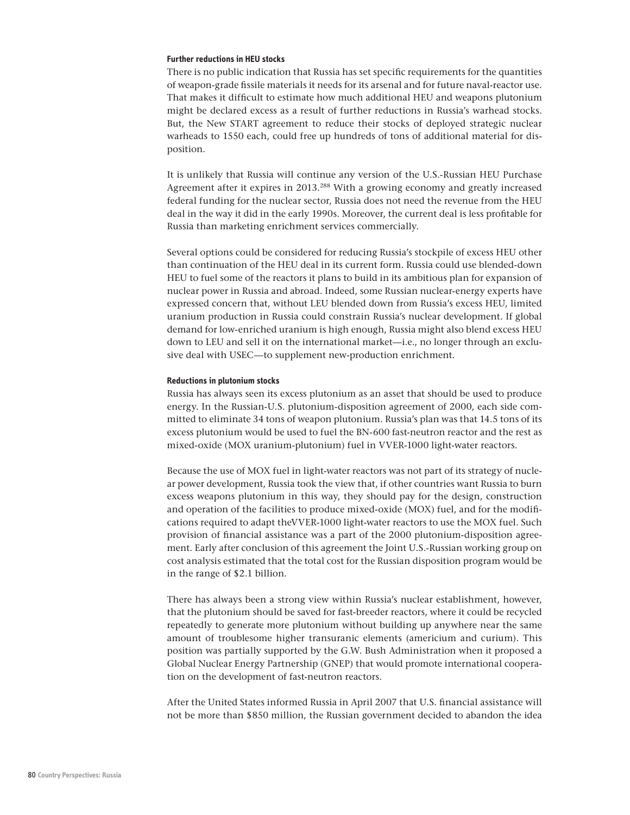#### **Further reductions in HEU stocks**

There is no public indication that Russia has set specific requirements for the quantities of weapon-grade fissile materials it needs for its arsenal and for future naval-reactor use. That makes it difficult to estimate how much additional HEU and weapons plutonium might be declared excess as a result of further reductions in Russia's warhead stocks. But, the New START agreement to reduce their stocks of deployed strategic nuclear warheads to 1550 each, could free up hundreds of tons of additional material for disposition.

It is unlikely that Russia will continue any version of the U.S.-Russian HEU Purchase Agreement after it expires in 2013.288 With a growing economy and greatly increased federal funding for the nuclear sector, Russia does not need the revenue from the HEU deal in the way it did in the early 1990s. Moreover, the current deal is less profitable for Russia than marketing enrichment services commercially.

Several options could be considered for reducing Russia's stockpile of excess HEU other than continuation of the HEU deal in its current form. Russia could use blended-down HEU to fuel some of the reactors it plans to build in its ambitious plan for expansion of nuclear power in Russia and abroad. Indeed, some Russian nuclear-energy experts have expressed concern that, without LEU blended down from Russia's excess HEU, limited uranium production in Russia could constrain Russia's nuclear development. If global demand for low-enriched uranium is high enough, Russia might also blend excess HEU down to LEU and sell it on the international market—i.e., no longer through an exclusive deal with USEC—to supplement new-production enrichment.

#### **Reductions in plutonium stocks**

Russia has always seen its excess plutonium as an asset that should be used to produce energy. In the Russian-U.S. plutonium-disposition agreement of 2000, each side committed to eliminate 34 tons of weapon plutonium. Russia's plan was that 14.5 tons of its excess plutonium would be used to fuel the BN-600 fast-neutron reactor and the rest as mixed-oxide (MOX uranium-plutonium) fuel in VVER-1000 light-water reactors.

Because the use of MOX fuel in light-water reactors was not part of its strategy of nuclear power development, Russia took the view that, if other countries want Russia to burn excess weapons plutonium in this way, they should pay for the design, construction and operation of the facilities to produce mixed-oxide (MOX) fuel, and for the modifications required to adapt theVVER-1000 light-water reactors to use the MOX fuel. Such provision of financial assistance was a part of the 2000 plutonium-disposition agreement. Early after conclusion of this agreement the Joint U.S.-Russian working group on cost analysis estimated that the total cost for the Russian disposition program would be in the range of \$2.1 billion.

There has always been a strong view within Russia's nuclear establishment, however, that the plutonium should be saved for fast-breeder reactors, where it could be recycled repeatedly to generate more plutonium without building up anywhere near the same amount of troublesome higher transuranic elements (americium and curium). This position was partially supported by the G.W. Bush Administration when it proposed a Global Nuclear Energy Partnership (GNEP) that would promote international cooperation on the development of fast-neutron reactors.

After the United States informed Russia in April 2007 that U.S. financial assistance will not be more than \$850 million, the Russian government decided to abandon the idea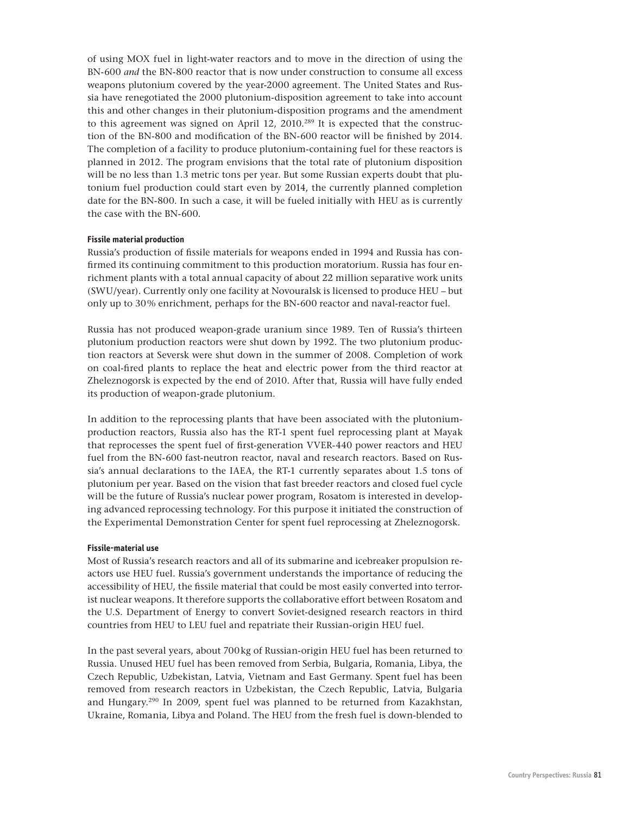of using MOX fuel in light-water reactors and to move in the direction of using the BN-600 *and* the BN-800 reactor that is now under construction to consume all excess weapons plutonium covered by the year-2000 agreement. The United States and Russia have renegotiated the 2000 plutonium-disposition agreement to take into account this and other changes in their plutonium-disposition programs and the amendment to this agreement was signed on April 12, 2010.<sup>289</sup> It is expected that the construction of the BN-800 and modification of the BN-600 reactor will be finished by 2014. The completion of a facility to produce plutonium-containing fuel for these reactors is planned in 2012. The program envisions that the total rate of plutonium disposition will be no less than 1.3 metric tons per year. But some Russian experts doubt that plutonium fuel production could start even by 2014, the currently planned completion date for the BN-800. In such a case, it will be fueled initially with HEU as is currently the case with the BN-600.

## **Fissile material production**

Russia's production of fissile materials for weapons ended in 1994 and Russia has confirmed its continuing commitment to this production moratorium. Russia has four enrichment plants with a total annual capacity of about 22 million separative work units (SWU/year). Currently only one facility at Novouralsk is licensed to produce HEU – but only up to 30 % enrichment, perhaps for the BN-600 reactor and naval-reactor fuel.

Russia has not produced weapon-grade uranium since 1989. Ten of Russia's thirteen plutonium production reactors were shut down by 1992. The two plutonium production reactors at Seversk were shut down in the summer of 2008. Completion of work on coal-fired plants to replace the heat and electric power from the third reactor at Zheleznogorsk is expected by the end of 2010. After that, Russia will have fully ended its production of weapon-grade plutonium.

In addition to the reprocessing plants that have been associated with the plutoniumproduction reactors, Russia also has the RT-1 spent fuel reprocessing plant at Mayak that reprocesses the spent fuel of first-generation VVER-440 power reactors and HEU fuel from the BN-600 fast-neutron reactor, naval and research reactors. Based on Russia's annual declarations to the IAEA, the RT-1 currently separates about 1.5 tons of plutonium per year. Based on the vision that fast breeder reactors and closed fuel cycle will be the future of Russia's nuclear power program, Rosatom is interested in developing advanced reprocessing technology. For this purpose it initiated the construction of the Experimental Demonstration Center for spent fuel reprocessing at Zheleznogorsk.

## **Fissile-material use**

Most of Russia's research reactors and all of its submarine and icebreaker propulsion reactors use HEU fuel. Russia's government understands the importance of reducing the accessibility of HEU, the fissile material that could be most easily converted into terrorist nuclear weapons. It therefore supports the collaborative effort between Rosatom and the U.S. Department of Energy to convert Soviet-designed research reactors in third countries from HEU to LEU fuel and repatriate their Russian-origin HEU fuel.

In the past several years, about 700 kg of Russian-origin HEU fuel has been returned to Russia. Unused HEU fuel has been removed from Serbia, Bulgaria, Romania, Libya, the Czech Republic, Uzbekistan, Latvia, Vietnam and East Germany. Spent fuel has been removed from research reactors in Uzbekistan, the Czech Republic, Latvia, Bulgaria and Hungary.290 In 2009, spent fuel was planned to be returned from Kazakhstan, Ukraine, Romania, Libya and Poland. The HEU from the fresh fuel is down-blended to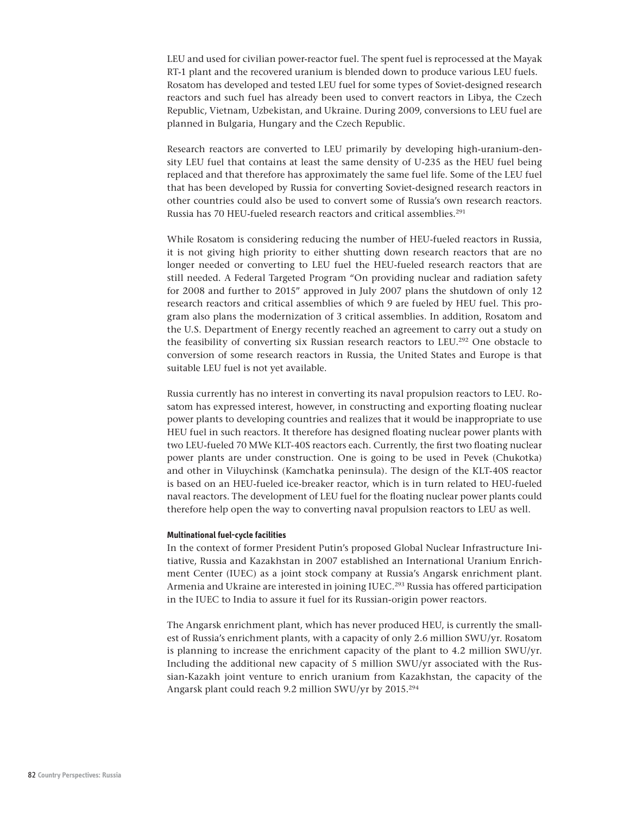LEU and used for civilian power-reactor fuel. The spent fuel is reprocessed at the Mayak RT-1 plant and the recovered uranium is blended down to produce various LEU fuels. Rosatom has developed and tested LEU fuel for some types of Soviet-designed research reactors and such fuel has already been used to convert reactors in Libya, the Czech Republic, Vietnam, Uzbekistan, and Ukraine. During 2009, conversions to LEU fuel are planned in Bulgaria, Hungary and the Czech Republic.

Research reactors are converted to LEU primarily by developing high-uranium-density LEU fuel that contains at least the same density of U-235 as the HEU fuel being replaced and that therefore has approximately the same fuel life. Some of the LEU fuel that has been developed by Russia for converting Soviet-designed research reactors in other countries could also be used to convert some of Russia's own research reactors. Russia has 70 HEU-fueled research reactors and critical assemblies.<sup>291</sup>

While Rosatom is considering reducing the number of HEU-fueled reactors in Russia, it is not giving high priority to either shutting down research reactors that are no longer needed or converting to LEU fuel the HEU-fueled research reactors that are still needed. A Federal Targeted Program "On providing nuclear and radiation safety for 2008 and further to 2015" approved in July 2007 plans the shutdown of only 12 research reactors and critical assemblies of which 9 are fueled by HEU fuel. This program also plans the modernization of 3 critical assemblies. In addition, Rosatom and the U.S. Department of Energy recently reached an agreement to carry out a study on the feasibility of converting six Russian research reactors to LEU.292 One obstacle to conversion of some research reactors in Russia, the United States and Europe is that suitable LEU fuel is not yet available.

Russia currently has no interest in converting its naval propulsion reactors to LEU. Rosatom has expressed interest, however, in constructing and exporting floating nuclear power plants to developing countries and realizes that it would be inappropriate to use HEU fuel in such reactors. It therefore has designed floating nuclear power plants with two LEU-fueled 70 MWe KLT-40S reactors each. Currently, the first two floating nuclear power plants are under construction. One is going to be used in Pevek (Chukotka) and other in Viluychinsk (Kamchatka peninsula). The design of the KLT-40S reactor is based on an HEU-fueled ice-breaker reactor, which is in turn related to HEU-fueled naval reactors. The development of LEU fuel for the floating nuclear power plants could therefore help open the way to converting naval propulsion reactors to LEU as well.

#### **Multinational fuel-cycle facilities**

In the context of former President Putin's proposed Global Nuclear Infrastructure Initiative, Russia and Kazakhstan in 2007 established an International Uranium Enrichment Center (IUEC) as a joint stock company at Russia's Angarsk enrichment plant. Armenia and Ukraine are interested in joining IUEC.<sup>293</sup> Russia has offered participation in the IUEC to India to assure it fuel for its Russian-origin power reactors.

The Angarsk enrichment plant, which has never produced HEU, is currently the smallest of Russia's enrichment plants, with a capacity of only 2.6 million SWU/yr. Rosatom is planning to increase the enrichment capacity of the plant to 4.2 million SWU/yr. Including the additional new capacity of 5 million SWU/yr associated with the Russian-Kazakh joint venture to enrich uranium from Kazakhstan, the capacity of the Angarsk plant could reach 9.2 million SWU/yr by 2015.294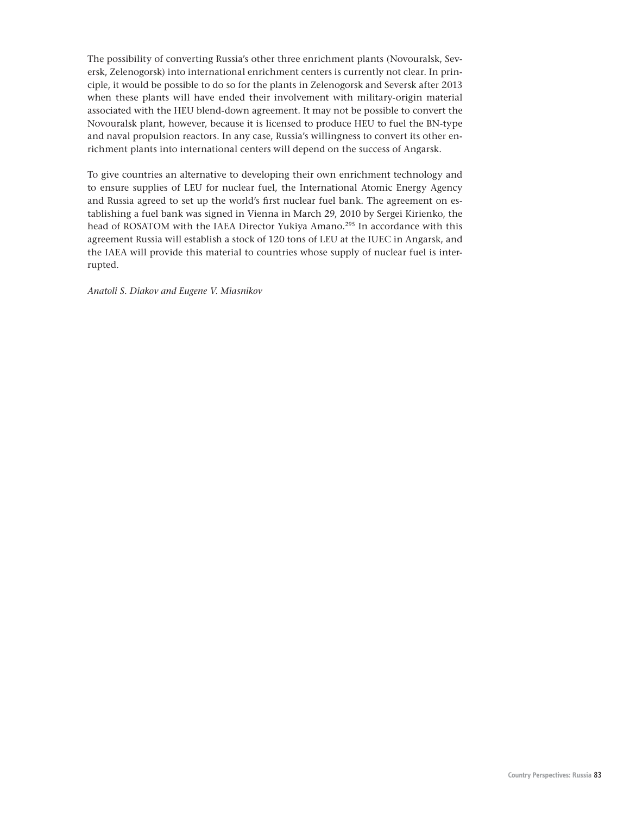The possibility of converting Russia's other three enrichment plants (Novouralsk, Seversk, Zelenogorsk) into international enrichment centers is currently not clear. In principle, it would be possible to do so for the plants in Zelenogorsk and Seversk after 2013 when these plants will have ended their involvement with military-origin material associated with the HEU blend-down agreement. It may not be possible to convert the Novouralsk plant, however, because it is licensed to produce HEU to fuel the BN-type and naval propulsion reactors. In any case, Russia's willingness to convert its other enrichment plants into international centers will depend on the success of Angarsk.

To give countries an alternative to developing their own enrichment technology and to ensure supplies of LEU for nuclear fuel, the International Atomic Energy Agency and Russia agreed to set up the world's first nuclear fuel bank. The agreement on establishing a fuel bank was signed in Vienna in March 29, 2010 by Sergei Kirienko, the head of ROSATOM with the IAEA Director Yukiya Amano.<sup>295</sup> In accordance with this agreement Russia will establish a stock of 120 tons of LEU at the IUEC in Angarsk, and the IAEA will provide this material to countries whose supply of nuclear fuel is interrupted.

*Anatoli S. Diakov and Eugene V. Miasnikov*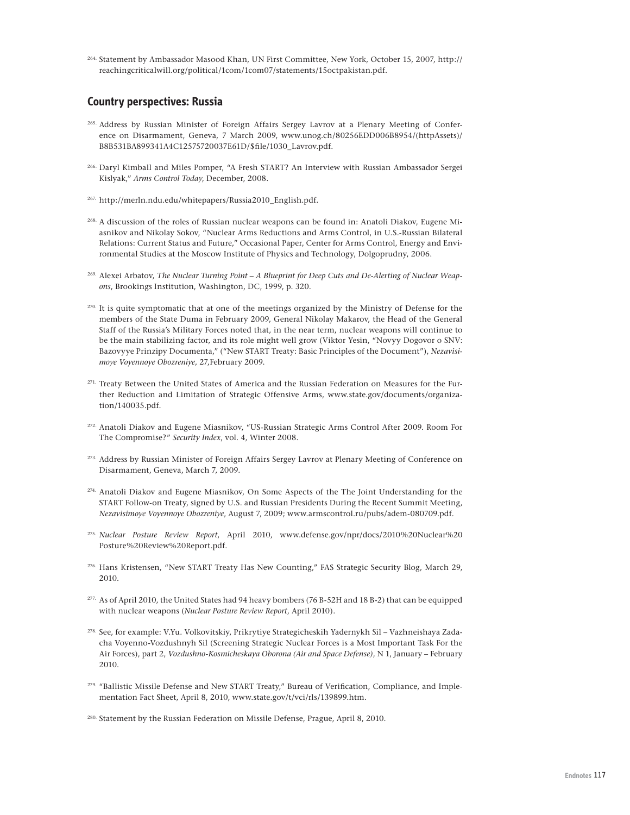264. Statement by Ambassador Masood Khan, UN First Committee, New York, October 15, 2007, http:// reachingcriticalwill.org/political/1com/1com07/statements/15octpakistan.pdf.

# **Country perspectives: Russia**

- 265. Address by Russian Minister of Foreign Affairs Sergey Lavrov at a Plenary Meeting of Conference on Disarmament, Geneva, 7 March 2009, www.unog.ch/80256EDD006B8954/(httpAssets)/ B8B531BA899341A4C12575720037E61D/\$file/1030\_Lavrov.pdf.
- 266. Daryl Kimball and Miles Pomper, "A Fresh START? An Interview with Russian Ambassador Sergei Kislyak," *Arms Control Today*, December, 2008.
- 267. http://merln.ndu.edu/whitepapers/Russia2010\_English.pdf.
- 268. A discussion of the roles of Russian nuclear weapons can be found in: Anatoli Diakov, Eugene Miasnikov and Nikolay Sokov, "Nuclear Arms Reductions and Arms Control, in U.S.-Russian Bilateral Relations: Current Status and Future," Occasional Paper, Center for Arms Control, Energy and Environmental Studies at the Moscow Institute of Physics and Technology, Dolgoprudny, 2006.
- 269. Alexei Arbatov, *The Nuclear Turning Point A Blueprint for Deep Cuts and De-Alerting of Nuclear Weapons*, Brookings Institution, Washington, DC, 1999, p. 320.
- <sup>270.</sup> It is quite symptomatic that at one of the meetings organized by the Ministry of Defense for the members of the State Duma in February 2009, General Nikolay Makarov, the Head of the General Staff of the Russia's Military Forces noted that, in the near term, nuclear weapons will continue to be the main stabilizing factor, and its role might well grow (Viktor Yesin, "Novyy Dogovor o SNV: Bazovyye Prinzipy Documenta," ("New START Treaty: Basic Principles of the Document"), *Nezavisimoye Voyennoye Obozreniye*, 27,February 2009.
- <sup>271.</sup> Treaty Between the United States of America and the Russian Federation on Measures for the Further Reduction and Limitation of Strategic Offensive Arms, www.state.gov/documents/organization/140035.pdf.
- 272. Anatoli Diakov and Eugene Miasnikov, "US-Russian Strategic Arms Control After 2009. Room For The Compromise?" *Security Index*, vol. 4, Winter 2008.
- <sup>273.</sup> Address by Russian Minister of Foreign Affairs Sergey Lavrov at Plenary Meeting of Conference on Disarmament, Geneva, March 7, 2009.
- 274. Anatoli Diakov and Eugene Miasnikov, On Some Aspects of the The Joint Understanding for the START Follow-on Treaty, signed by U.S. and Russian Presidents During the Recent Summit Meeting, *Nezavisimoye Voyennoye Obozreniye*, August 7, 2009; www.armscontrol.ru/pubs/adem-080709.pdf.
- 275. *Nuclear Posture Review Report*, April 2010, www.defense.gov/npr/docs/2010%20Nuclear%20 Posture%20Review%20Report.pdf.
- 276. Hans Kristensen, "New START Treaty Has New Counting," FAS Strategic Security Blog, March 29, 2010.
- 277. As of April 2010, the United States had 94 heavy bombers (76 B-52H and 18 B-2) that can be equipped with nuclear weapons (*Nuclear Posture Review Report*, April 2010).
- 278. See, for example: V.Yu. Volkovitskiy, Prikrytiye Strategicheskih Yadernykh Sil Vazhneishaya Zadacha Voyenno-Vozdushnyh Sil (Screening Strategic Nuclear Forces is a Most Important Task For the Air Forces), part 2, *Vozdushno-Kosmicheskaya Oborona (Air and Space Defense)*, N 1, January – February 2010.
- <sup>279.</sup> "Ballistic Missile Defense and New START Treaty," Bureau of Verification, Compliance, and Implementation Fact Sheet, April 8, 2010, www.state.gov/t/vci/rls/139899.htm.

280. Statement by the Russian Federation on Missile Defense, Prague, April 8, 2010.